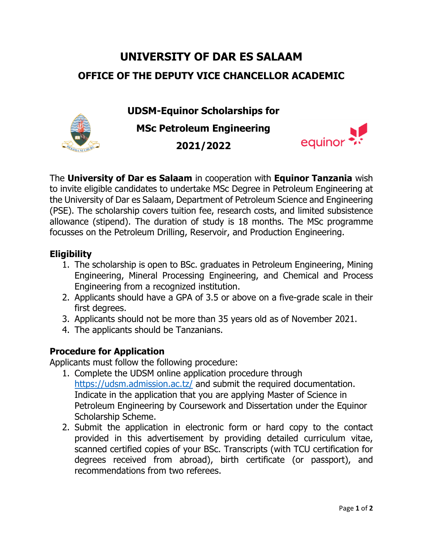# **UNIVERSITY OF DAR ES SALAAM OFFICE OF THE DEPUTY VICE CHANCELLOR ACADEMIC**

**UDSM-Equinor Scholarships for MSc Petroleum Engineering 2021/2022**



The **University of Dar es Salaam** in cooperation with **Equinor Tanzania** wish to invite eligible candidates to undertake MSc Degree in Petroleum Engineering at the University of Dar es Salaam, Department of Petroleum Science and Engineering (PSE). The scholarship covers tuition fee, research costs, and limited subsistence allowance (stipend). The duration of study is 18 months. The MSc programme focusses on the Petroleum Drilling, Reservoir, and Production Engineering.

### **Eligibility**

- 1. The scholarship is open to BSc. graduates in Petroleum Engineering, Mining Engineering, Mineral Processing Engineering, and Chemical and Process Engineering from a recognized institution.
- 2. Applicants should have a GPA of 3.5 or above on a five-grade scale in their first degrees.
- 3. Applicants should not be more than 35 years old as of November 2021.
- 4. The applicants should be Tanzanians.

## **Procedure for Application**

Applicants must follow the following procedure:

- 1. Complete the UDSM online application procedure through <https://udsm.admission.ac.tz/> and submit the required documentation. Indicate in the application that you are applying Master of Science in Petroleum Engineering by Coursework and Dissertation under the Equinor Scholarship Scheme.
- 2. Submit the application in electronic form or hard copy to the contact provided in this advertisement by providing detailed curriculum vitae, scanned certified copies of your BSc. Transcripts (with TCU certification for degrees received from abroad), birth certificate (or passport), and recommendations from two referees.